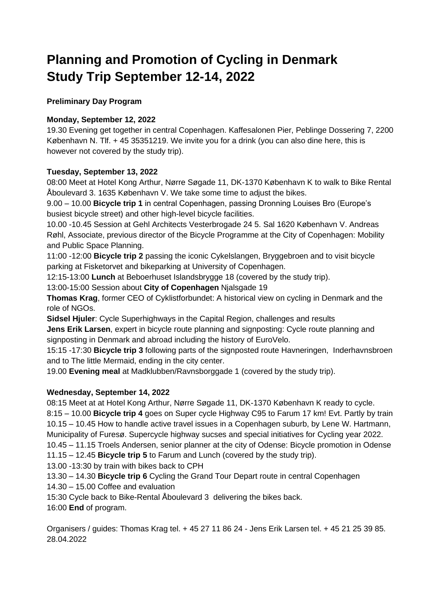# **Planning and Promotion of Cycling in Denmark Study Trip September 12-14, 2022**

**Preliminary Day Program**

## **Monday, September 12, 2022**

19.30 Evening get together in central Copenhagen. Kaffesalonen Pier, Peblinge Dossering 7, 2200 København N. Tlf. + 45 35351219. We invite you for a drink (you can also dine here, this is however not covered by the study trip).

### **Tuesday, September 13, 2022**

08:00 Meet at Hotel Kong Arthur, Nørre Søgade 11, DK-1370 København K to walk to Bike Rental Åboulevard 3. 1635 København V. We take some time to adjust the bikes.

9.00 – 10.00 **Bicycle trip 1** in central Copenhagen, passing Dronning Louises Bro (Europe's busiest bicycle street) and other high-level bicycle facilities.

10.00 -10.45 Session at Gehl Architects Vesterbrogade 24 5. Sal 1620 København V. Andreas Røhl, Associate, previous director of the Bicycle Programme at the City of Copenhagen: Mobility and Public Space Planning.

11:00 -12:00 **Bicycle trip 2** passing the iconic Cykelslangen, Bryggebroen and to visit bicycle parking at Fisketorvet and bikeparking at University of Copenhagen.

12:15-13:00 **Lunch** at Beboerhuset Islandsbrygge 18 (covered by the study trip).

13:00-15:00 Session about **City of Copenhagen** Njalsgade 19

**Thomas Krag**, former CEO of Cyklistforbundet: A historical view on cycling in Denmark and the role of NGOs.

**Sidsel Hjuler**: Cycle Superhighways in the Capital Region, challenges and results

**Jens Erik Larsen**, expert in bicycle route planning and signposting: Cycle route planning and signposting in Denmark and abroad including the history of EuroVelo.

15:15 -17:30 **Bicycle trip 3** following parts of the signposted route Havneringen, Inderhavnsbroen and to The little Mermaid, ending in the city center.

19.00 **Evening meal** at Madklubben/Ravnsborggade 1 (covered by the study trip).

# **Wednesday, September 14, 2022**

08:15 Meet at at Hotel Kong Arthur, Nørre Søgade 11, DK-1370 København K ready to cycle. 8:15 – 10.00 **Bicycle trip 4** goes on Super cycle Highway C95 to Farum 17 km! Evt. Partly by train 10.15 – 10.45 How to handle active travel issues in a Copenhagen suburb, by Lene W. Hartmann, Municipality of Furesø. Supercycle highway sucses and special initiatives for Cycling year 2022.

10.45 – 11.15 Troels Andersen, senior planner at the city of Odense: Bicycle promotion in Odense

11.15 – 12.45 **Bicycle trip 5** to Farum and Lunch (covered by the study trip).

13.00 -13:30 by train with bikes back to CPH

13.30 – 14.30 **Bicycle trip 6** Cycling the Grand Tour Depart route in central Copenhagen

14.30 – 15.00 Coffee and evaluation

15:30 Cycle back to Bike-Rental Åboulevard 3 delivering the bikes back.

16:00 **End** of program.

Organisers / guides: Thomas Krag tel. + 45 27 11 86 24 - Jens Erik Larsen tel. + 45 21 25 39 85. 28.04.2022